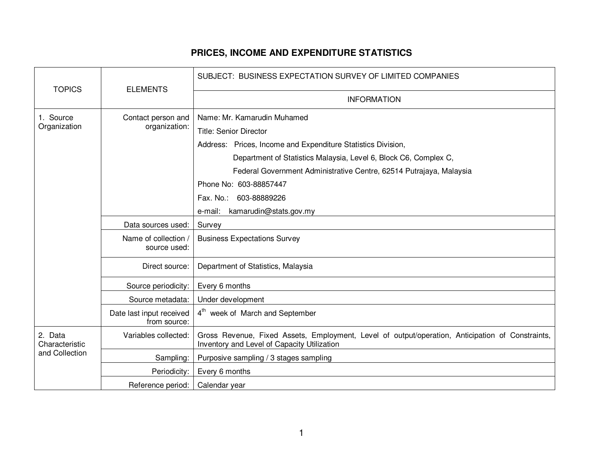## **PRICES, INCOME AND EXPENDITURE STATISTICS**

| <b>TOPICS</b>                               | <b>ELEMENTS</b>                          | SUBJECT: BUSINESS EXPECTATION SURVEY OF LIMITED COMPANIES                                                                                                                                                                                                                                                                                                     |
|---------------------------------------------|------------------------------------------|---------------------------------------------------------------------------------------------------------------------------------------------------------------------------------------------------------------------------------------------------------------------------------------------------------------------------------------------------------------|
|                                             |                                          | <b>INFORMATION</b>                                                                                                                                                                                                                                                                                                                                            |
| 1. Source<br>Organization                   | Contact person and<br>organization:      | Name: Mr. Kamarudin Muhamed<br><b>Title: Senior Director</b><br>Address: Prices, Income and Expenditure Statistics Division,<br>Department of Statistics Malaysia, Level 6, Block C6, Complex C,<br>Federal Government Administrative Centre, 62514 Putrajaya, Malaysia<br>Phone No: 603-88857447<br>Fax. No.: 603-88889226<br>e-mail: kamarudin@stats.gov.my |
|                                             | Data sources used:                       | Survey                                                                                                                                                                                                                                                                                                                                                        |
|                                             | Name of collection /<br>source used:     | <b>Business Expectations Survey</b>                                                                                                                                                                                                                                                                                                                           |
|                                             | Direct source:                           | Department of Statistics, Malaysia                                                                                                                                                                                                                                                                                                                            |
|                                             | Source periodicity:                      | Every 6 months                                                                                                                                                                                                                                                                                                                                                |
|                                             | Source metadata:                         | Under development                                                                                                                                                                                                                                                                                                                                             |
|                                             | Date last input received<br>from source: | 4 <sup>th</sup> week of March and September                                                                                                                                                                                                                                                                                                                   |
| 2. Data<br>Characteristic<br>and Collection | Variables collected:                     | Gross Revenue, Fixed Assets, Employment, Level of output/operation, Anticipation of Constraints,<br>Inventory and Level of Capacity Utilization                                                                                                                                                                                                               |
|                                             | Sampling:                                | Purposive sampling / 3 stages sampling                                                                                                                                                                                                                                                                                                                        |
|                                             | Periodicity:                             | Every 6 months                                                                                                                                                                                                                                                                                                                                                |
|                                             | Reference period:                        | Calendar year                                                                                                                                                                                                                                                                                                                                                 |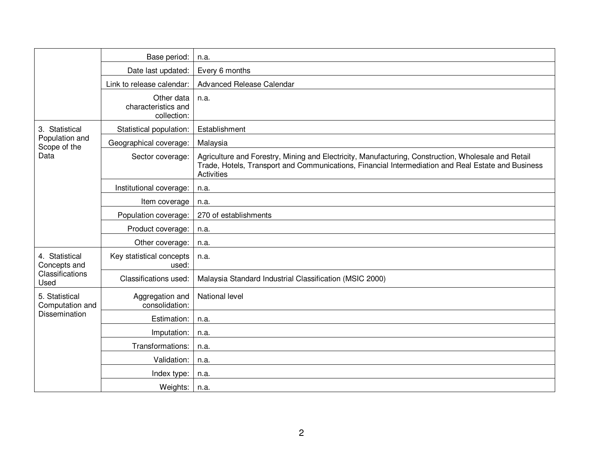|                                                           | Base period:                                     | n.a.                                                                                                                                                                                                                           |
|-----------------------------------------------------------|--------------------------------------------------|--------------------------------------------------------------------------------------------------------------------------------------------------------------------------------------------------------------------------------|
|                                                           | Date last updated:                               | Every 6 months                                                                                                                                                                                                                 |
|                                                           | Link to release calendar:                        | Advanced Release Calendar                                                                                                                                                                                                      |
|                                                           | Other data<br>characteristics and<br>collection: | n.a.                                                                                                                                                                                                                           |
| 3. Statistical<br>Population and<br>Scope of the<br>Data  | Statistical population:                          | Establishment                                                                                                                                                                                                                  |
|                                                           | Geographical coverage:                           | Malaysia                                                                                                                                                                                                                       |
|                                                           | Sector coverage:                                 | Agriculture and Forestry, Mining and Electricity, Manufacturing, Construction, Wholesale and Retail<br>Trade, Hotels, Transport and Communications, Financial Intermediation and Real Estate and Business<br><b>Activities</b> |
|                                                           | Institutional coverage:                          | n.a.                                                                                                                                                                                                                           |
|                                                           | Item coverage                                    | n.a.                                                                                                                                                                                                                           |
|                                                           | Population coverage:                             | 270 of establishments                                                                                                                                                                                                          |
|                                                           | Product coverage:                                | n.a.                                                                                                                                                                                                                           |
|                                                           | Other coverage:                                  | n.a.                                                                                                                                                                                                                           |
| 4. Statistical<br>Concepts and<br>Classifications<br>Used | Key statistical concepts<br>used:                | n.a.                                                                                                                                                                                                                           |
|                                                           | Classifications used:                            | Malaysia Standard Industrial Classification (MSIC 2000)                                                                                                                                                                        |
| 5. Statistical<br>Computation and<br>Dissemination        | Aggregation and<br>consolidation:                | National level                                                                                                                                                                                                                 |
|                                                           | Estimation:                                      | n.a.                                                                                                                                                                                                                           |
|                                                           | Imputation:                                      | n.a.                                                                                                                                                                                                                           |
|                                                           | Transformations:                                 | n.a.                                                                                                                                                                                                                           |
|                                                           | Validation:                                      | n.a.                                                                                                                                                                                                                           |
|                                                           | Index type:                                      | n.a.                                                                                                                                                                                                                           |
|                                                           | Weights:                                         | n.a.                                                                                                                                                                                                                           |